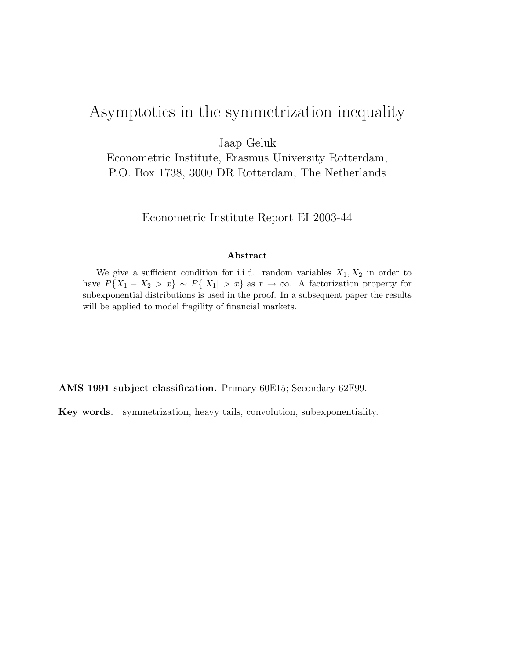# Asymptotics in the symmetrization inequality

Jaap Geluk

Econometric Institute, Erasmus University Rotterdam, P.O. Box 1738, 3000 DR Rotterdam, The Netherlands

Econometric Institute Report EI 2003-44

#### Abstract

We give a sufficient condition for i.i.d. random variables  $X_1, X_2$  in order to have  $P{X_1 - X_2 > x} \sim P{|X_1| > x}$  as  $x \to \infty$ . A factorization property for subexponential distributions is used in the proof. In a subsequent paper the results will be applied to model fragility of financial markets.

AMS 1991 subject classification. Primary 60E15; Secondary 62F99.

Key words. symmetrization, heavy tails, convolution, subexponentiality.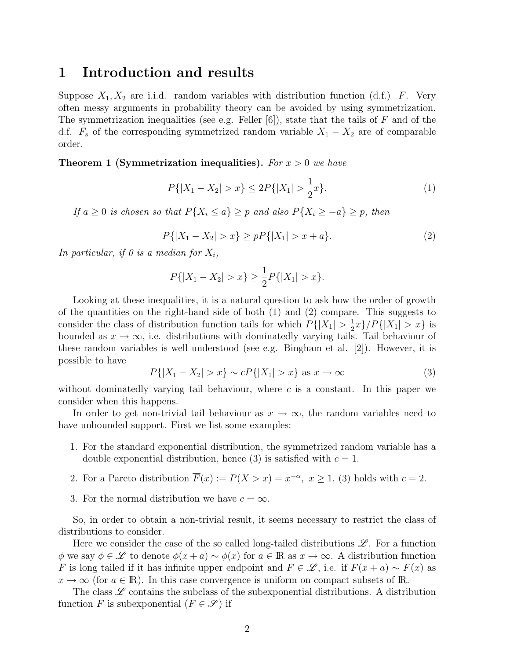### 1 Introduction and results

Suppose  $X_1, X_2$  are i.i.d. random variables with distribution function (d.f.) F. Very often messy arguments in probability theory can be avoided by using symmetrization. The symmetrization inequalities (see e.g. Feller  $[6]$ ), state that the tails of F and of the d.f.  $F_s$  of the corresponding symmetrized random variable  $X_1 - X_2$  are of comparable order.

**Theorem 1 (Symmetrization inequalities).** For  $x > 0$  we have

$$
P\{|X_1 - X_2| > x\} \le 2P\{|X_1| > \frac{1}{2}x\}.\tag{1}
$$

If  $a \geq 0$  is chosen so that  $P\{X_i \leq a\} \geq p$  and also  $P\{X_i \geq -a\} \geq p$ , then

$$
P\{|X_1 - X_2| > x\} \ge p \cdot P\{|X_1| > x + a\}.\tag{2}
$$

In particular, if 0 is a median for  $X_i$ ,

$$
P\{|X_1 - X_2| > x\} \ge \frac{1}{2}P\{|X_1| > x\}.
$$

Looking at these inequalities, it is a natural question to ask how the order of growth of the quantities on the right-hand side of both  $(1)$  and  $(2)$  compare. This suggests to consider the class of distribution function tails for which  $P\{|X_1| > \frac{1}{2}\}$  $\frac{1}{2}x\}/P\{|X_1| > x\}$  is bounded as  $x \to \infty$ , i.e. distributions with dominatedly varying tails. Tail behaviour of these random variables is well understood (see e.g. Bingham et al. [2]). However, it is possible to have

$$
P\{|X_1 - X_2| > x\} \sim cP\{|X_1| > x\} \text{ as } x \to \infty
$$
 (3)

without dominatedly varying tail behaviour, where  $c$  is a constant. In this paper we consider when this happens.

In order to get non-trivial tail behaviour as  $x \to \infty$ , the random variables need to have unbounded support. First we list some examples:

- 1. For the standard exponential distribution, the symmetrized random variable has a double exponential distribution, hence (3) is satisfied with  $c = 1$ .
- 2. For a Pareto distribution  $\overline{F}(x) := P(X > x) = x^{-\alpha}, x \ge 1$ , (3) holds with  $c = 2$ .
- 3. For the normal distribution we have  $c = \infty$ .

So, in order to obtain a non-trivial result, it seems necessary to restrict the class of distributions to consider.

Here we consider the case of the so called long-tailed distributions  $\mathscr{L}$ . For a function φ we say  $\phi \in \mathscr{L}$  to denote  $\phi(x+a) \sim \phi(x)$  for  $a \in \mathbb{R}$  as  $x \to \infty$ . A distribution function F is long tailed if it has infinite upper endpoint and  $\overline{F} \in \mathscr{L}$ , i.e. if  $\overline{F}(x+a) \sim \overline{F}(x)$  as  $x \to \infty$  (for  $a \in \mathbb{R}$ ). In this case convergence is uniform on compact subsets of R.

The class  $\mathscr L$  contains the subclass of the subexponential distributions. A distribution function F is subexponential  $(F \in \mathscr{S})$  if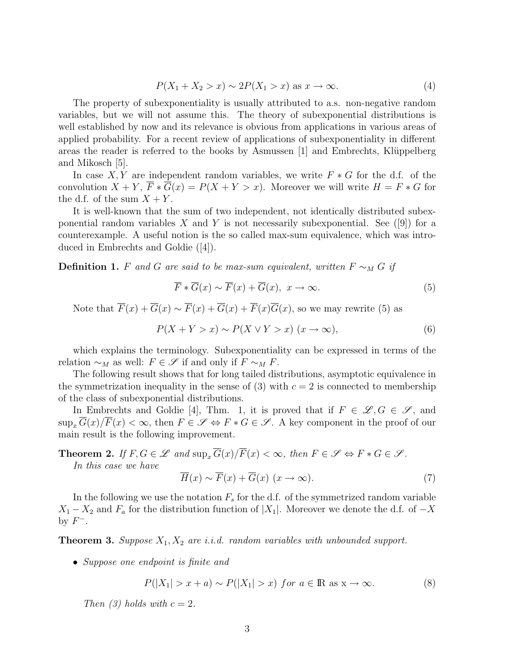$$
P(X_1 + X_2 > x) \sim 2P(X_1 > x) \text{ as } x \to \infty. \tag{4}
$$

The property of subexponentiality is usually attributed to a.s. non-negative random variables, but we will not assume this. The theory of subexponential distributions is well established by now and its relevance is obvious from applications in various areas of applied probability. For a recent review of applications of subexponentiality in different areas the reader is referred to the books by Asmussen  $|1|$  and Embrechts, Klüppelberg and Mikosch [5].

In case X, Y are independent random variables, we write  $F * G$  for the d.f. of the convolution  $X + Y$ ,  $\overline{F} * \overline{G}(x) = P(X + Y > x)$ . Moreover we will write  $H = F * G$  for the d.f. of the sum  $X + Y$ .

It is well-known that the sum of two independent, not identically distributed subexponential random variables X and Y is not necessarily subexponential. See ([9]) for a counterexample. A useful notion is the so called max-sum equivalence, which was introduced in Embrechts and Goldie ([4]).

**Definition 1.** F and G are said to be max-sum equivalent, written  $F \sim_M G$  if

$$
\overline{F} * \overline{G}(x) \sim \overline{F}(x) + \overline{G}(x), \ x \to \infty.
$$
 (5)

Note that  $\overline{F}(x) + \overline{G}(x) \sim \overline{F}(x) + \overline{G}(x) + \overline{F}(x)\overline{G}(x)$ , so we may rewrite (5) as

$$
P(X + Y > x) \sim P(X \vee Y > x) \ (x \to \infty), \tag{6}
$$

which explains the terminology. Subexponentiality can be expressed in terms of the relation  $\sim_M$  as well:  $F \in \mathscr{S}$  if and only if  $F \sim_M F$ .

The following result shows that for long tailed distributions, asymptotic equivalence in the symmetrization inequality in the sense of (3) with  $c = 2$  is connected to membership of the class of subexponential distributions.

In Embrechts and Goldie [4], Thm. 1, it is proved that if  $F \in \mathscr{L}, G \in \mathscr{S}$ , and  $\sup_x \overline{G}(x)/\overline{F}(x) < \infty$ , then  $F \in \mathscr{S} \Leftrightarrow F * G \in \mathscr{S}$ . A key component in the proof of our main result is the following improvement.

**Theorem 2.** If  $F, G \in \mathscr{L}$  and  $\sup_x \overline{G}(x)/\overline{F}(x) < \infty$ , then  $F \in \mathscr{S} \Leftrightarrow F * G \in \mathscr{S}$ .

In this case we have

$$
\overline{H}(x) \sim \overline{F}(x) + \overline{G}(x) \ (x \to \infty).
$$
 (7)

In the following we use the notation  $F_s$  for the d.f. of the symmetrized random variable  $X_1 - X_2$  and  $F_a$  for the distribution function of  $|X_1|$ . Moreover we denote the d.f. of  $-X$ by  $F^-$ .

**Theorem 3.** Suppose  $X_1, X_2$  are i.i.d. random variables with unbounded support.

• Suppose one endpoint is finite and

$$
P(|X_1| > x + a) \sim P(|X_1| > x) \text{ for } a \in \mathbb{R} \text{ as } x \to \infty.
$$
 (8)

Then (3) holds with  $c = 2$ .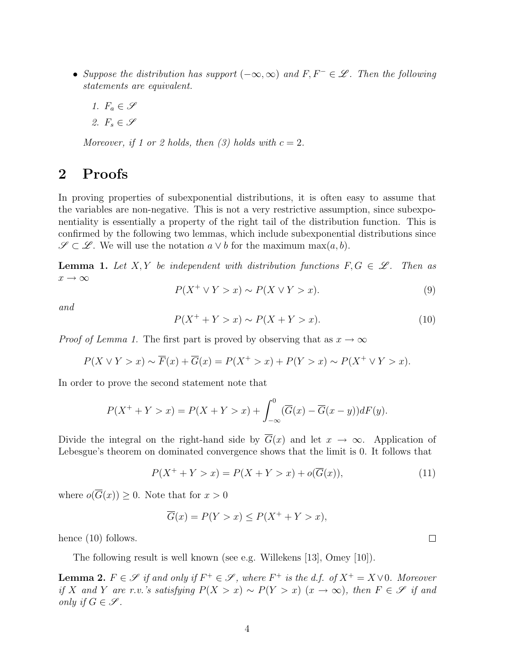- Suppose the distribution has support  $(-\infty,\infty)$  and  $F, F^- \in \mathscr{L}$ . Then the following statements are equivalent.
	- 1.  $F_a \in \mathscr{S}$
	- 2.  $F_s \in \mathscr{S}$

Moreover, if 1 or 2 holds, then  $(3)$  holds with  $c = 2$ .

## 2 Proofs

In proving properties of subexponential distributions, it is often easy to assume that the variables are non-negative. This is not a very restrictive assumption, since subexponentiality is essentially a property of the right tail of the distribution function. This is confirmed by the following two lemmas, which include subexponential distributions since  $\mathscr{S} \subset \mathscr{L}$ . We will use the notation  $a \vee b$  for the maximum max $(a, b)$ .

**Lemma 1.** Let X, Y be independent with distribution functions  $F, G \in \mathcal{L}$ . Then as  $x\rightarrow\infty$ 

$$
P(X^+ \vee Y > x) \sim P(X \vee Y > x). \tag{9}
$$

and

$$
P(X^+ + Y > x) \sim P(X + Y > x).
$$
 (10)

*Proof of Lemma 1.* The first part is proved by observing that as  $x \to \infty$ 

$$
P(X \vee Y > x) \sim \overline{F}(x) + \overline{G}(x) = P(X^+ > x) + P(Y > x) \sim P(X^+ \vee Y > x).
$$

In order to prove the second statement note that

$$
P(X^+ + Y > x) = P(X + Y > x) + \int_{-\infty}^{0} (\overline{G}(x) - \overline{G}(x - y))dF(y).
$$

Divide the integral on the right-hand side by  $\overline{G}(x)$  and let  $x \to \infty$ . Application of Lebesgue's theorem on dominated convergence shows that the limit is 0. It follows that

$$
P(X^{+} + Y > x) = P(X + Y > x) + o(\overline{G}(x)),
$$
\n(11)

where  $o(\overline{G}(x)) \geq 0$ . Note that for  $x > 0$ 

$$
\overline{G}(x) = P(Y > x) \le P(X^+ + Y > x),
$$

hence  $(10)$  follows.

The following result is well known (see e.g. Willekens [13], Omey [10]).

**Lemma 2.**  $F \in \mathscr{S}$  if and only if  $F^+ \in \mathscr{S}$ , where  $F^+$  is the d.f. of  $X^+ = X \vee 0$ . Moreover if X and Y are r.v.'s satisfying  $P(X > x) \sim P(Y > x)$  (x → ∞), then  $F \in \mathscr{S}$  if and only if  $G \in \mathscr{S}$ .

 $\Box$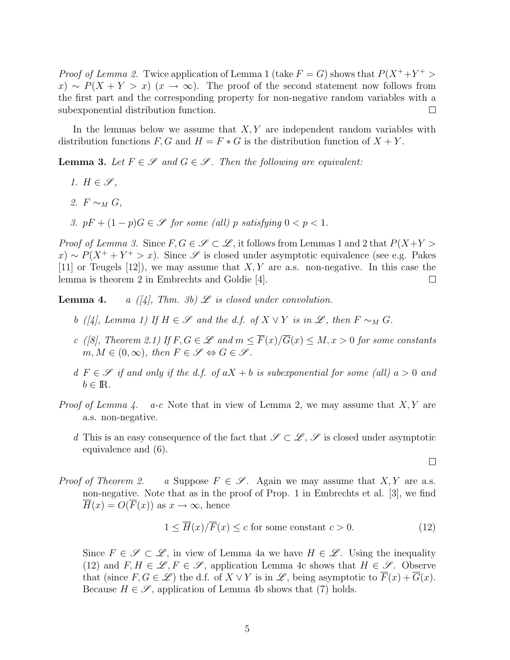*Proof of Lemma 2.* Twice application of Lemma 1 (take  $F = G$ ) shows that  $P(X^+ + Y^+)$  $f(x) \sim P(X + Y > x)$  ( $x \to \infty$ ). The proof of the second statement now follows from the first part and the corresponding property for non-negative random variables with a subexponential distribution function.  $\Box$ 

In the lemmas below we assume that  $X, Y$  are independent random variables with distribution functions  $F, G$  and  $H = F * G$  is the distribution function of  $X + Y$ .

**Lemma 3.** Let  $F \in \mathcal{S}$  and  $G \in \mathcal{S}$ . Then the following are equivalent:

- 1.  $H \in \mathscr{S}$ ,
- 2.  $F \sim_M G$ ,
- 3.  $pF + (1 p)G \in \mathscr{S}$  for some (all) p satisfying  $0 < p < 1$ .

*Proof of Lemma 3.* Since  $F, G \in \mathscr{S} \subset \mathscr{L}$ , it follows from Lemmas 1 and 2 that  $P(X+Y)$  $f(x) \sim P(X^+ + Y^+ > x)$ . Since  $\mathscr S$  is closed under asymptotic equivalence (see e.g. Pakes [11] or Teugels [12]), we may assume that  $X, Y$  are a.s. non-negative. In this case the lemma is theorem 2 in Embrechts and Goldie [4].  $\Box$ 

**Lemma 4.** a ([4], Thm. 3b)  $\mathcal{L}$  is closed under convolution.

- b ([4], Lemma 1) If  $H \in \mathscr{S}$  and the d.f. of  $X \vee Y$  is in  $\mathscr{L}$ , then  $F \sim_M G$ .
- c ([8], Theorem 2.1) If  $F, G \in \mathscr{L}$  and  $m \leq \overline{F}(x)/\overline{G}(x) \leq M, x > 0$  for some constants  $m, M \in (0, \infty)$ , then  $F \in \mathscr{S} \Leftrightarrow G \in \mathscr{S}$ .
- d  $F \in \mathscr{S}$  if and only if the d.f. of  $aX + b$  is subexponential for some (all)  $a > 0$  and  $b \in \mathbb{R}$ .
- *Proof of Lemma 4.* a-c Note that in view of Lemma 2, we may assume that  $X, Y$  are a.s. non-negative.
	- d This is an easy consequence of the fact that  $\mathscr{S} \subset \mathscr{L}, \mathscr{S}$  is closed under asymptotic equivalence and (6).

*Proof of Theorem 2.* a Suppose  $F \in \mathcal{S}$ . Again we may assume that X, Y are a.s. non-negative. Note that as in the proof of Prop. 1 in Embrechts et al. [3], we find  $\overline{H}(x) = O(\overline{F}(x))$  as  $x \to \infty$ , hence

$$
1 \le \overline{H}(x)/\overline{F}(x) \le c \text{ for some constant } c > 0. \tag{12}
$$

Since  $F \in \mathscr{S} \subset \mathscr{L}$ , in view of Lemma 4a we have  $H \in \mathscr{L}$ . Using the inequality (12) and  $F, H \in \mathscr{L}, F \in \mathscr{S}$ , application Lemma 4c shows that  $H \in \mathscr{S}$ . Observe that (since  $F, G \in \mathscr{L}$ ) the d.f. of  $X \vee Y$  is in  $\mathscr{L}$ , being asymptotic to  $\overline{F}(x) + \overline{G}(x)$ . Because  $H \in \mathscr{S}$ , application of Lemma 4b shows that (7) holds.

 $\Box$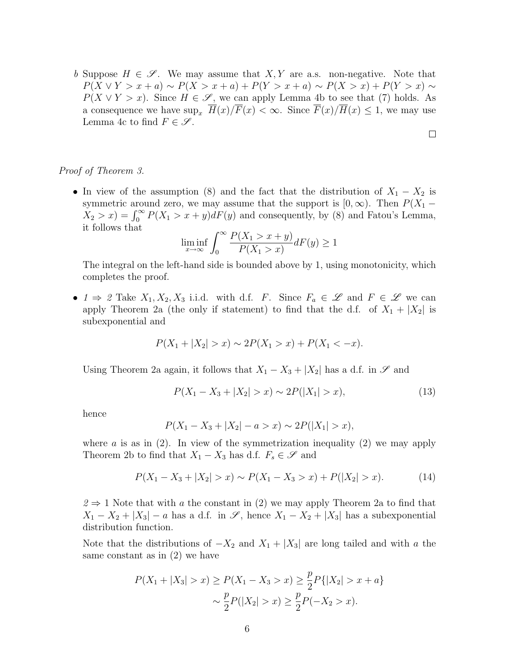b Suppose  $H \in \mathscr{S}$ . We may assume that X, Y are a.s. non-negative. Note that  $P(X \vee Y > x + a) \sim P(X > x + a) + P(Y > x + a) \sim P(X > x) + P(Y > x) \sim$  $P(X \vee Y > x)$ . Since  $H \in \mathscr{S}$ , we can apply Lemma 4b to see that (7) holds. As a consequence we have  $\sup_x \overline{H}(x)/\overline{F}(x) < \infty$ . Since  $\overline{F}(x)/\overline{H}(x) \leq 1$ , we may use Lemma 4c to find  $F \in \mathscr{S}$ .

### Proof of Theorem 3.

• In view of the assumption (8) and the fact that the distribution of  $X_1 - X_2$  is symmetric around zero, we may assume that the support is  $[0, \infty)$ . Then  $P(X_1 X_2 > x$ ) =  $\int_0^\infty P(X_1 > x + y)dF(y)$  and consequently, by (8) and Fatou's Lemma, it follows that

$$
\liminf_{x \to \infty} \int_0^\infty \frac{P(X_1 > x + y)}{P(X_1 > x)} dF(y) \ge 1
$$

The integral on the left-hand side is bounded above by 1, using monotonicity, which completes the proof.

•  $1 \Rightarrow 2$  Take  $X_1, X_2, X_3$  i.i.d. with d.f. F. Since  $F_a \in \mathscr{L}$  and  $F \in \mathscr{L}$  we can apply Theorem 2a (the only if statement) to find that the d.f. of  $X_1 + |X_2|$  is subexponential and

$$
P(X_1 + |X_2| > x) \sim 2P(X_1 > x) + P(X_1 < -x).
$$

Using Theorem 2a again, it follows that  $X_1 - X_3 + |X_2|$  has a d.f. in  $\mathscr S$  and

$$
P(X_1 - X_3 + |X_2| > x) \sim 2P(|X_1| > x),\tag{13}
$$

 $\Box$ 

hence

$$
P(X_1 - X_3 + |X_2| - a > x) \sim 2P(|X_1| > x),
$$

where a is as in  $(2)$ . In view of the symmetrization inequality  $(2)$  we may apply Theorem 2b to find that  $X_1 - X_3$  has d.f.  $F_s \in \mathscr{S}$  and

$$
P(X_1 - X_3 + |X_2| > x) \sim P(X_1 - X_3 > x) + P(|X_2| > x). \tag{14}
$$

 $2 \Rightarrow 1$  Note that with a the constant in (2) we may apply Theorem 2a to find that  $X_1 - X_2 + |X_3| - a$  has a d.f. in  $\mathscr{S}$ , hence  $X_1 - X_2 + |X_3|$  has a subexponential distribution function.

Note that the distributions of  $-X_2$  and  $X_1 + |X_3|$  are long tailed and with a the same constant as in (2) we have

$$
P(X_1 + |X_3| > x) \ge P(X_1 - X_3 > x) \ge \frac{p}{2} P\{|X_2| > x + a\}
$$

$$
\sim \frac{p}{2} P(|X_2| > x) \ge \frac{p}{2} P(-X_2 > x).
$$